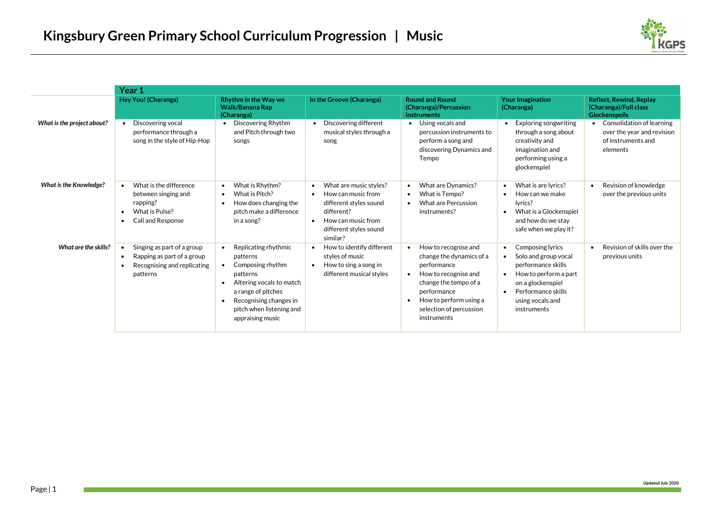

|                               | Year 1                                                                                                                                     |                                                                                                                                                                                                                     |                                                                                                                                                                                         |                                                                                                                                                                                                                               |                                                                                                                                                                                                                                  |                                                                                           |
|-------------------------------|--------------------------------------------------------------------------------------------------------------------------------------------|---------------------------------------------------------------------------------------------------------------------------------------------------------------------------------------------------------------------|-----------------------------------------------------------------------------------------------------------------------------------------------------------------------------------------|-------------------------------------------------------------------------------------------------------------------------------------------------------------------------------------------------------------------------------|----------------------------------------------------------------------------------------------------------------------------------------------------------------------------------------------------------------------------------|-------------------------------------------------------------------------------------------|
|                               | Hey You! (Charanga)                                                                                                                        | Rhythm in the Way we<br>Walk/Banana Rap<br>(Charanga)                                                                                                                                                               | In the Groove (Charanga)                                                                                                                                                                | <b>Round and Round</b><br>(Charanga)/Percussion<br><b>instruments</b>                                                                                                                                                         | <b>Your Imagination</b><br>(Charanga)                                                                                                                                                                                            | <b>Reflect, Rewind, Replay</b><br>(Charanga)/Full class<br><b>Glockenspeils</b>           |
| What is the project about?    | Discovering vocal<br>$\bullet$<br>performance through a<br>song in the style of Hip-Hop                                                    | Discovering Rhythm<br>$\bullet$<br>and Pitch through two<br>songs                                                                                                                                                   | Discovering different<br>$\bullet$<br>musical styles through a<br>song                                                                                                                  | Using vocals and<br>$\bullet$<br>percussion instruments to<br>perform a song and<br>discovering Dynamics and<br>Tempo                                                                                                         | Exploring songwriting<br>$\bullet$<br>through a song about<br>creativity and<br>imagination and<br>performing using a<br>glockenspiel                                                                                            | Consolidation of learning<br>over the year and revision<br>of instruments and<br>elements |
| <b>What is the Knowledge?</b> | What is the difference<br>$\bullet$<br>between singing and<br>rapping?<br>What is Pulse?<br><b>Call and Response</b><br>$\bullet$          | What is Rhythm?<br>٠<br>What is Pitch?<br>٠<br>How does changing the<br>٠<br>pitch make a difference<br>in a song?                                                                                                  | What are music styles?<br>$\bullet$<br>How can music from<br>$\bullet$<br>different styles sound<br>different?<br>How can music from<br>$\bullet$<br>different styles sound<br>similar? | What are Dynamics?<br>$\bullet$<br>What is Tempo?<br><b>What are Percussion</b><br>$\bullet$<br>instruments?                                                                                                                  | What is are lyrics?<br>$\bullet$<br>How can we make<br>$\bullet$<br>lyrics?<br>What is a Glockenspiel<br>$\bullet$<br>and how do we stay<br>safe when we play it?                                                                | Revision of knowledge<br>$\bullet$<br>over the previous units                             |
| What are the skills?          | Singing as part of a group<br>$\bullet$<br>Rapping as part of a group<br>$\bullet$<br>Recognising and replicating<br>$\bullet$<br>patterns | Replicating rhythmic<br>patterns<br>Composing rhythm<br>$\bullet$<br>patterns<br>Altering vocals to match<br>٠<br>a range of pitches<br>Recognising changes in<br>٠<br>pitch when listening and<br>appraising music | How to identify different<br>$\bullet$<br>styles of music<br>How to sing a song in<br>$\bullet$<br>different musical styles                                                             | How to recognise and<br>change the dynamics of a<br>performance<br>How to recognise and<br>$\bullet$<br>change the tempo of a<br>performance<br>How to perform using a<br>$\bullet$<br>selection of percussion<br>instruments | <b>Composing lyrics</b><br>$\bullet$<br>Solo and group vocal<br>$\bullet$<br>performance skills<br>How to perform a part<br>$\bullet$<br>on a glockenspiel<br>Performance skills<br>$\bullet$<br>using vocals and<br>instruments | Revision of skills over the<br>$\bullet$<br>previous units                                |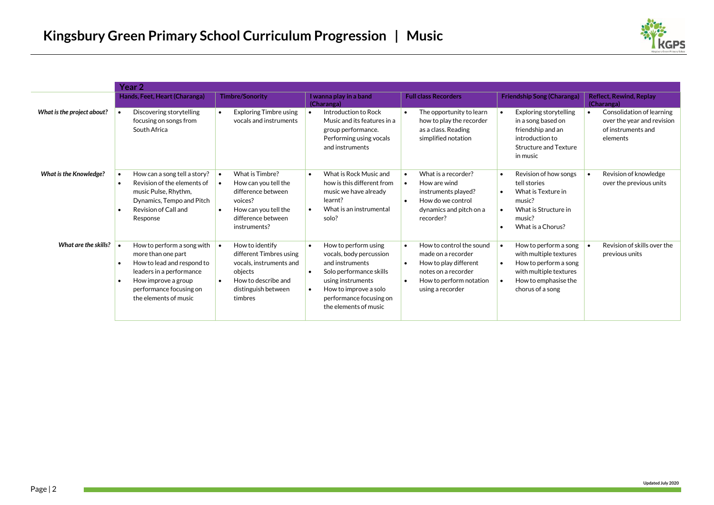

|                               | Year 2 |                                                                                                                                                                                       |           |                                                                                                                                           |                                     |                                                                                                                                                                                                 |           |                                                                                                                                               |                        |                                                                                                                                                |           |                                                                                           |
|-------------------------------|--------|---------------------------------------------------------------------------------------------------------------------------------------------------------------------------------------|-----------|-------------------------------------------------------------------------------------------------------------------------------------------|-------------------------------------|-------------------------------------------------------------------------------------------------------------------------------------------------------------------------------------------------|-----------|-----------------------------------------------------------------------------------------------------------------------------------------------|------------------------|------------------------------------------------------------------------------------------------------------------------------------------------|-----------|-------------------------------------------------------------------------------------------|
|                               |        | Hands, Feet, Heart (Charanga)                                                                                                                                                         |           | <b>Timbre/Sonority</b>                                                                                                                    |                                     | I wanna play in a band<br>(Charanga)                                                                                                                                                            |           | <b>Full class Recorders</b>                                                                                                                   |                        | <b>Friendship Song (Charanga)</b>                                                                                                              |           | <b>Reflect, Rewind, Replay</b><br>(Charanga)                                              |
| What is the project about?    |        | Discovering storytelling<br>focusing on songs from<br>South Africa                                                                                                                    |           | <b>Exploring Timbre using</b><br>vocals and instruments                                                                                   |                                     | Introduction to Rock<br>Music and its features in a<br>group performance.<br>Performing using vocals<br>and instruments                                                                         |           | The opportunity to learn<br>how to play the recorder<br>as a class. Reading<br>simplified notation                                            |                        | <b>Exploring storytelling</b><br>in a song based on<br>friendship and an<br>introduction to<br>Structure and Texture<br>in music               | $\bullet$ | Consolidation of learning<br>over the year and revision<br>of instruments and<br>elements |
| <b>What is the Knowledge?</b> |        | How can a song tell a story?<br>Revision of the elements of<br>music Pulse, Rhythm,<br>Dynamics, Tempo and Pitch<br>Revision of Call and<br>Response                                  | $\bullet$ | What is Timbre?<br>How can you tell the<br>difference between<br>voices?<br>How can you tell the<br>difference between<br>instruments?    | $\bullet$                           | What is Rock Music and<br>how is this different from<br>music we have already<br>learnt?<br>What is an instrumental<br>solo?                                                                    |           | What is a recorder?<br>How are wind<br>instruments played?<br>How do we control<br>dynamics and pitch on a<br>recorder?                       | $\bullet$<br>$\bullet$ | Revision of how songs<br>tell stories<br>What is Texture in<br>music?<br>What is Structure in<br>music?<br>What is a Chorus?                   |           | Revision of knowledge<br>over the previous units                                          |
| What are the skills?          |        | How to perform a song with<br>more than one part<br>How to lead and respond to<br>leaders in a performance<br>How improve a group<br>performance focusing on<br>the elements of music | $\bullet$ | How to identify<br>different Timbres using<br>vocals, instruments and<br>objects<br>How to describe and<br>distinguish between<br>timbres | $\bullet$<br>$\bullet$<br>$\bullet$ | How to perform using<br>vocals, body percussion<br>and instruments<br>Solo performance skills<br>using instruments<br>How to improve a solo<br>performance focusing on<br>the elements of music | $\bullet$ | How to control the sound<br>made on a recorder<br>How to play different<br>notes on a recorder<br>How to perform notation<br>using a recorder | $\bullet$<br>$\bullet$ | How to perform a song<br>with multiple textures<br>How to perform a song<br>with multiple textures<br>How to emphasise the<br>chorus of a song |           | Revision of skills over the<br>previous units                                             |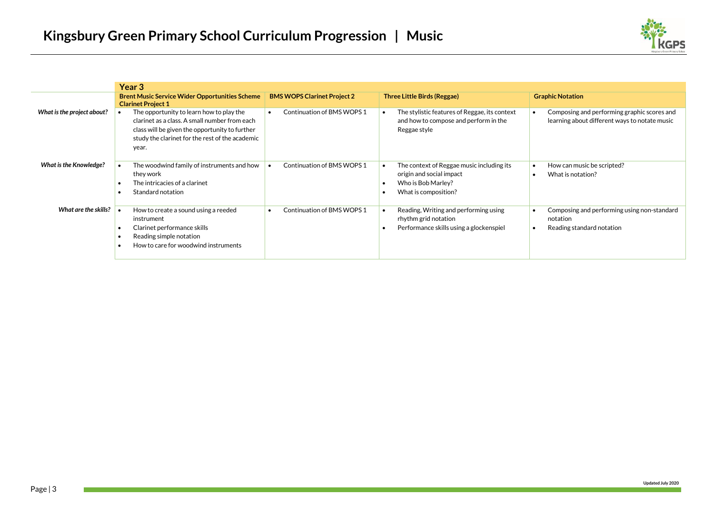

|                               | Year 3                                                                                                                                                                                                  |                                         |                                                                                                                                       |                                                                                              |
|-------------------------------|---------------------------------------------------------------------------------------------------------------------------------------------------------------------------------------------------------|-----------------------------------------|---------------------------------------------------------------------------------------------------------------------------------------|----------------------------------------------------------------------------------------------|
|                               | <b>Brent Music Service Wider Opportunities Scheme</b><br><b>Clarinet Project 1</b>                                                                                                                      | <b>BMS WOPS Clarinet Project 2</b>      | <b>Three Little Birds (Reggae)</b>                                                                                                    | <b>Graphic Notation</b>                                                                      |
| What is the project about?    | The opportunity to learn how to play the<br>clarinet as a class. A small number from each<br>class will be given the opportunity to further<br>study the clarinet for the rest of the academic<br>year. | Continuation of BMS WOPS 1              | The stylistic features of Reggae, its context<br>and how to compose and perform in the<br>Reggae style                                | Composing and performing graphic scores and<br>learning about different ways to notate music |
| <b>What is the Knowledge?</b> | The woodwind family of instruments and how<br>they work<br>The intricacies of a clarinet<br>Standard notation                                                                                           | Continuation of BMS WOPS 1              | The context of Reggae music including its<br>$\bullet$<br>origin and social impact<br>Who is Bob Marley?<br>٠<br>What is composition? | How can music be scripted?<br>What is notation?                                              |
| What are the skills?          | How to create a sound using a reeded<br>instrument<br>Clarinet performance skills<br>Reading simple notation<br>How to care for woodwind instruments                                                    | Continuation of BMS WOPS 1<br>$\bullet$ | Reading, Writing and performing using<br>$\bullet$<br>rhythm grid notation<br>Performance skills using a glockenspiel                 | Composing and performing using non-standard<br>notation<br>Reading standard notation         |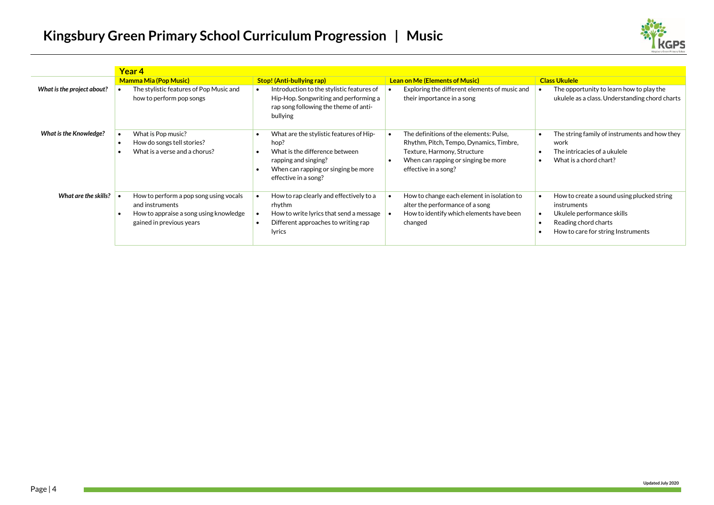## **Kingsbury Green Primary School Curriculum Progression | Music**



|                               | Year 4                                                                                                                          |                                                                                                                                                                          |                                                                                                                                                                                  |                                                                                                                                                       |  |  |  |
|-------------------------------|---------------------------------------------------------------------------------------------------------------------------------|--------------------------------------------------------------------------------------------------------------------------------------------------------------------------|----------------------------------------------------------------------------------------------------------------------------------------------------------------------------------|-------------------------------------------------------------------------------------------------------------------------------------------------------|--|--|--|
|                               | <b>Mamma Mia (Pop Music)</b>                                                                                                    | <b>Stop! (Anti-bullying rap)</b>                                                                                                                                         | <b>Lean on Me (Elements of Music)</b>                                                                                                                                            | <b>Class Ukulele</b>                                                                                                                                  |  |  |  |
| What is the project about?    | The stylistic features of Pop Music and<br>how to perform pop songs                                                             | Introduction to the stylistic features of<br>Hip-Hop. Songwriting and performing a<br>rap song following the theme of anti-<br>bullying                                  | Exploring the different elements of music and<br>their importance in a song                                                                                                      | The opportunity to learn how to play the<br>ukulele as a class. Understanding chord charts                                                            |  |  |  |
| <b>What is the Knowledge?</b> | What is Pop music?<br>How do songs tell stories?<br>What is a verse and a chorus?<br>٠                                          | What are the stylistic features of Hip-<br>hop?<br>What is the difference between<br>rapping and singing?<br>When can rapping or singing be more<br>effective in a song? | The definitions of the elements: Pulse.<br>Rhythm, Pitch, Tempo, Dynamics, Timbre,<br>Texture, Harmony, Structure<br>When can rapping or singing be more<br>effective in a song? | The string family of instruments and how they<br>work<br>The intricacies of a ukulele<br>What is a chord chart?                                       |  |  |  |
| What are the skills?          | How to perform a pop song using vocals<br>and instruments<br>How to appraise a song using knowledge<br>gained in previous years | How to rap clearly and effectively to a<br>rhythm<br>How to write lyrics that send a message<br>Different approaches to writing rap<br>$\bullet$<br>lyrics               | How to change each element in isolation to<br>alter the performance of a song<br>How to identify which elements have been<br>changed                                             | How to create a sound using plucked string<br>instruments<br>Ukulele performance skills<br>Reading chord charts<br>How to care for string Instruments |  |  |  |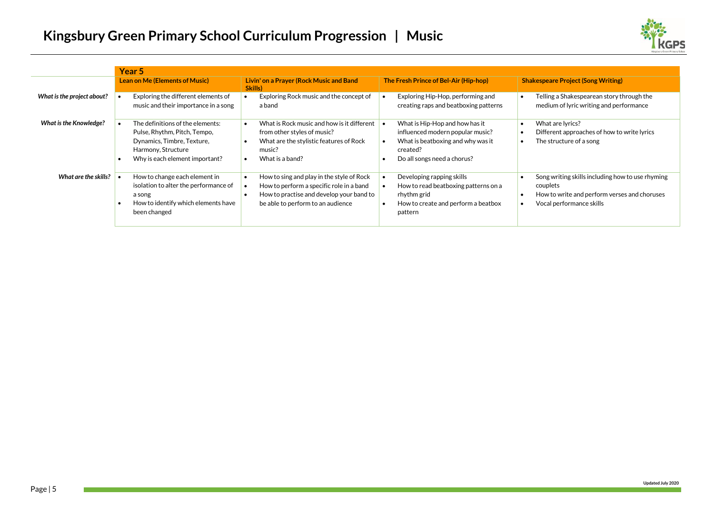

|                               | Year <sub>5</sub>                                                                                                                                      |                                                                                                                                                                               |                                                                                                                                                    |                                                                                                                                          |  |  |  |  |
|-------------------------------|--------------------------------------------------------------------------------------------------------------------------------------------------------|-------------------------------------------------------------------------------------------------------------------------------------------------------------------------------|----------------------------------------------------------------------------------------------------------------------------------------------------|------------------------------------------------------------------------------------------------------------------------------------------|--|--|--|--|
|                               | Lean on Me (Elements of Music)                                                                                                                         | Livin' on a Prayer (Rock Music and Band<br>Skills)                                                                                                                            | The Fresh Prince of Bel-Air (Hip-hop)                                                                                                              | <b>Shakespeare Project (Song Writing)</b>                                                                                                |  |  |  |  |
| What is the project about?    | Exploring the different elements of<br>music and their importance in a song                                                                            | Exploring Rock music and the concept of<br>a band                                                                                                                             | Exploring Hip-Hop, performing and<br>creating raps and beatboxing patterns                                                                         | Telling a Shakespearean story through the<br>$\bullet$<br>medium of lyric writing and performance                                        |  |  |  |  |
| <b>What is the Knowledge?</b> | The definitions of the elements:<br>Pulse, Rhythm, Pitch, Tempo,<br>Dynamics, Timbre, Texture,<br>Harmony, Structure<br>Why is each element important? | What is Rock music and how is it different<br>from other styles of music?<br>What are the stylistic features of Rock<br>-<br>music?<br>What is a band?                        | What is Hip-Hop and how has it<br>influenced modern popular music?<br>What is beatboxing and why was it<br>created?<br>Do all songs need a chorus? | What are lyrics?<br>$\bullet$<br>Different approaches of how to write lyrics<br>$\bullet$<br>The structure of a song<br>٠                |  |  |  |  |
| What are the skills?          | How to change each element in<br>isolation to alter the performance of<br>a song<br>How to identify which elements have<br>been changed                | How to sing and play in the style of Rock<br>- 1<br>How to perform a specific role in a band<br>How to practise and develop your band to<br>be able to perform to an audience | Developing rapping skills<br>How to read beatboxing patterns on a<br>rhythm grid<br>How to create and perform a beatbox<br>pattern                 | Song writing skills including how to use rhyming<br>couplets<br>How to write and perform verses and choruses<br>Vocal performance skills |  |  |  |  |